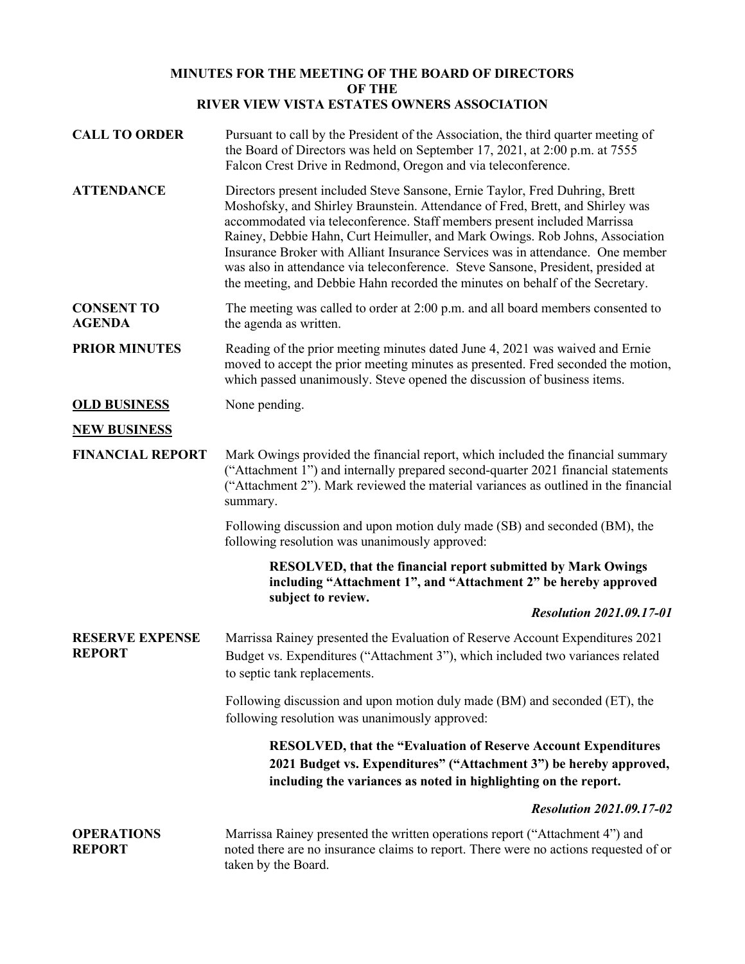## **MINUTES FOR THE MEETING OF THE BOARD OF DIRECTORS OF THE RIVER VIEW VISTA ESTATES OWNERS ASSOCIATION**

**CALL TO ORDER** Pursuant to call by the President of the Association, the third quarter meeting of the Board of Directors was held on September 17, 2021, at 2:00 p.m. at 7555 Falcon Crest Drive in Redmond, Oregon and via teleconference. **ATTENDANCE** Directors present included Steve Sansone, Ernie Taylor, Fred Duhring, Brett Moshofsky, and Shirley Braunstein. Attendance of Fred, Brett, and Shirley was accommodated via teleconference. Staff members present included Marrissa Rainey, Debbie Hahn, Curt Heimuller, and Mark Owings. Rob Johns, Association Insurance Broker with Alliant Insurance Services was in attendance. One member was also in attendance via teleconference. Steve Sansone, President, presided at the meeting, and Debbie Hahn recorded the minutes on behalf of the Secretary. **CONSENT TO AGENDA** The meeting was called to order at 2:00 p.m. and all board members consented to the agenda as written. **PRIOR MINUTES** Reading of the prior meeting minutes dated June 4, 2021 was waived and Ernie moved to accept the prior meeting minutes as presented. Fred seconded the motion, which passed unanimously. Steve opened the discussion of business items. **OLD BUSINESS** None pending. **NEW BUSINESS FINANCIAL REPORT** Mark Owings provided the financial report, which included the financial summary ("Attachment 1") and internally prepared second-quarter 2021 financial statements ("Attachment 2"). Mark reviewed the material variances as outlined in the financial summary. Following discussion and upon motion duly made (SB) and seconded (BM), the following resolution was unanimously approved: **RESOLVED, that the financial report submitted by Mark Owings including "Attachment 1", and "Attachment 2" be hereby approved subject to review.** *Resolution 2021.09.17-01* **RESERVE EXPENSE REPORT** Marrissa Rainey presented the Evaluation of Reserve Account Expenditures 2021 Budget vs. Expenditures ("Attachment 3"), which included two variances related to septic tank replacements. Following discussion and upon motion duly made (BM) and seconded (ET), the following resolution was unanimously approved: **RESOLVED, that the "Evaluation of Reserve Account Expenditures 2021 Budget vs. Expenditures" ("Attachment 3") be hereby approved, including the variances as noted in highlighting on the report.** *Resolution 2021.09.17-02* **OPERATIONS REPORT** Marrissa Rainey presented the written operations report ("Attachment 4") and noted there are no insurance claims to report. There were no actions requested of or taken by the Board.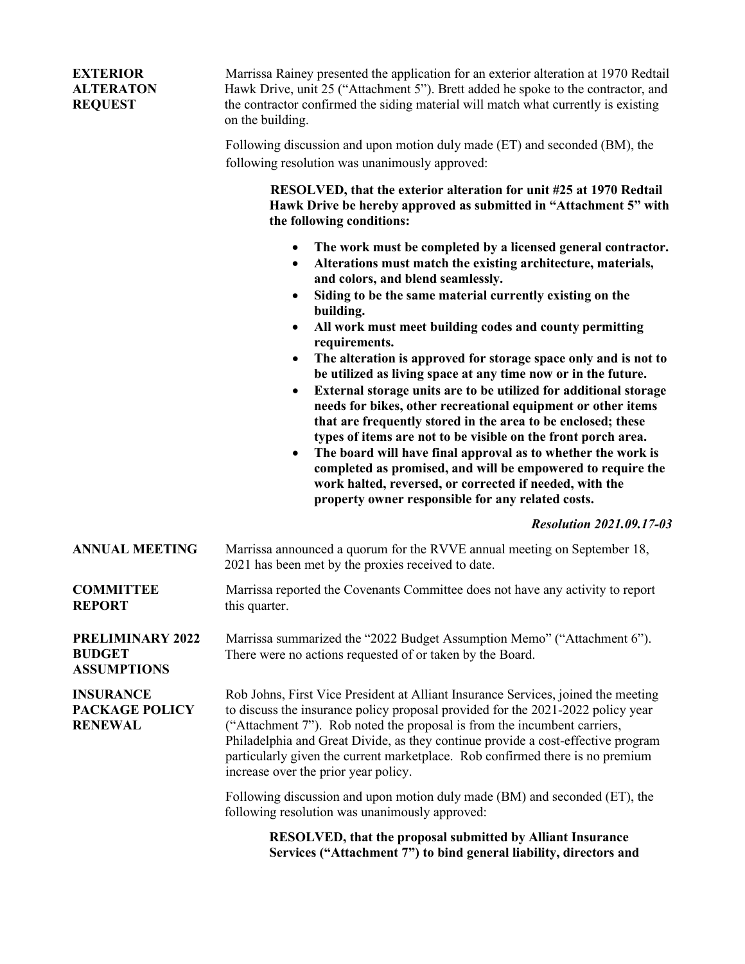| <b>EXTERIOR</b><br><b>ALTERATON</b><br><b>REQUEST</b>          | Marrissa Rainey presented the application for an exterior alteration at 1970 Redtail<br>Hawk Drive, unit 25 ("Attachment 5"). Brett added he spoke to the contractor, and<br>the contractor confirmed the siding material will match what currently is existing<br>on the building.                                                                                                                                                                                                                                                                                                                                                                                                                                                                                                                                                                                                                                                                                                                  |
|----------------------------------------------------------------|------------------------------------------------------------------------------------------------------------------------------------------------------------------------------------------------------------------------------------------------------------------------------------------------------------------------------------------------------------------------------------------------------------------------------------------------------------------------------------------------------------------------------------------------------------------------------------------------------------------------------------------------------------------------------------------------------------------------------------------------------------------------------------------------------------------------------------------------------------------------------------------------------------------------------------------------------------------------------------------------------|
|                                                                | Following discussion and upon motion duly made (ET) and seconded (BM), the<br>following resolution was unanimously approved:                                                                                                                                                                                                                                                                                                                                                                                                                                                                                                                                                                                                                                                                                                                                                                                                                                                                         |
|                                                                | RESOLVED, that the exterior alteration for unit #25 at 1970 Redtail<br>Hawk Drive be hereby approved as submitted in "Attachment 5" with<br>the following conditions:                                                                                                                                                                                                                                                                                                                                                                                                                                                                                                                                                                                                                                                                                                                                                                                                                                |
|                                                                | The work must be completed by a licensed general contractor.<br>$\bullet$<br>Alterations must match the existing architecture, materials,<br>$\bullet$<br>and colors, and blend seamlessly.<br>Siding to be the same material currently existing on the<br>٠<br>building.<br>All work must meet building codes and county permitting<br>$\bullet$<br>requirements.<br>The alteration is approved for storage space only and is not to<br>٠<br>be utilized as living space at any time now or in the future.<br>External storage units are to be utilized for additional storage<br>$\bullet$<br>needs for bikes, other recreational equipment or other items<br>that are frequently stored in the area to be enclosed; these<br>types of items are not to be visible on the front porch area.<br>The board will have final approval as to whether the work is<br>$\bullet$<br>completed as promised, and will be empowered to require the<br>work halted, reversed, or corrected if needed, with the |
|                                                                | property owner responsible for any related costs.<br><b>Resolution 2021.09.17-03</b>                                                                                                                                                                                                                                                                                                                                                                                                                                                                                                                                                                                                                                                                                                                                                                                                                                                                                                                 |
| <b>ANNUAL MEETING</b>                                          | Marrissa announced a quorum for the RVVE annual meeting on September 18,<br>2021 has been met by the proxies received to date.                                                                                                                                                                                                                                                                                                                                                                                                                                                                                                                                                                                                                                                                                                                                                                                                                                                                       |
| <b>COMMITTEE</b><br><b>REPORT</b>                              | Marrissa reported the Covenants Committee does not have any activity to report<br>this quarter.                                                                                                                                                                                                                                                                                                                                                                                                                                                                                                                                                                                                                                                                                                                                                                                                                                                                                                      |
| <b>PRELIMINARY 2022</b><br><b>BUDGET</b><br><b>ASSUMPTIONS</b> | Marrissa summarized the "2022 Budget Assumption Memo" ("Attachment 6").<br>There were no actions requested of or taken by the Board.                                                                                                                                                                                                                                                                                                                                                                                                                                                                                                                                                                                                                                                                                                                                                                                                                                                                 |
| <b>INSURANCE</b><br><b>PACKAGE POLICY</b><br><b>RENEWAL</b>    | Rob Johns, First Vice President at Alliant Insurance Services, joined the meeting<br>to discuss the insurance policy proposal provided for the 2021-2022 policy year<br>("Attachment 7"). Rob noted the proposal is from the incumbent carriers,<br>Philadelphia and Great Divide, as they continue provide a cost-effective program<br>particularly given the current marketplace. Rob confirmed there is no premium<br>increase over the prior year policy.                                                                                                                                                                                                                                                                                                                                                                                                                                                                                                                                        |
|                                                                | Following discussion and upon motion duly made (BM) and seconded (ET), the<br>following resolution was unanimously approved:                                                                                                                                                                                                                                                                                                                                                                                                                                                                                                                                                                                                                                                                                                                                                                                                                                                                         |
|                                                                | <b>RESOLVED, that the proposal submitted by Alliant Insurance</b><br>Services ("Attachment 7") to bind general liability, directors and                                                                                                                                                                                                                                                                                                                                                                                                                                                                                                                                                                                                                                                                                                                                                                                                                                                              |